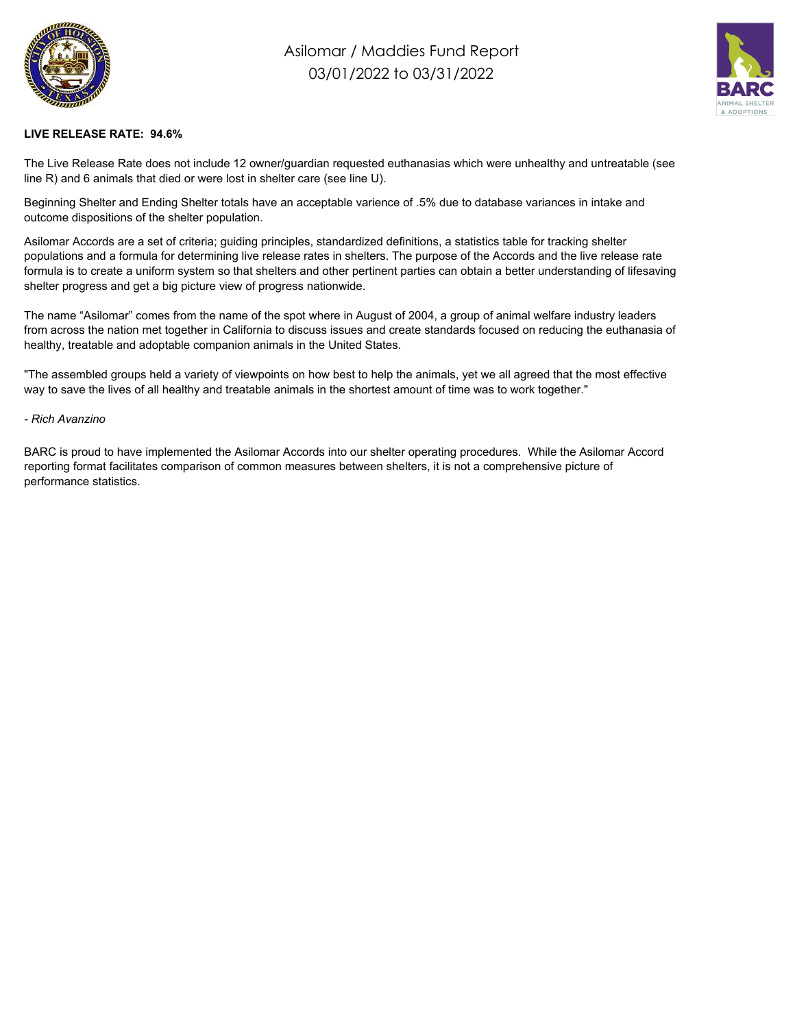

## Asilomar / Maddies Fund Report 03/01/2022 to 03/31/2022



## **LIVE RELEASE RATE: 94.6%**

The Live Release Rate does not include 12 owner/guardian requested euthanasias which were unhealthy and untreatable (see line R) and 6 animals that died or were lost in shelter care (see line U).

Beginning Shelter and Ending Shelter totals have an acceptable varience of .5% due to database variances in intake and outcome dispositions of the shelter population.

Asilomar Accords are a set of criteria; guiding principles, standardized definitions, a statistics table for tracking shelter populations and a formula for determining live release rates in shelters. The purpose of the Accords and the live release rate formula is to create a uniform system so that shelters and other pertinent parties can obtain a better understanding of lifesaving shelter progress and get a big picture view of progress nationwide.

The name "Asilomar" comes from the name of the spot where in August of 2004, a group of animal welfare industry leaders from across the nation met together in California to discuss issues and create standards focused on reducing the euthanasia of healthy, treatable and adoptable companion animals in the United States.

"The assembled groups held a variety of viewpoints on how best to help the animals, yet we all agreed that the most effective way to save the lives of all healthy and treatable animals in the shortest amount of time was to work together."

## *- Rich Avanzino*

BARC is proud to have implemented the Asilomar Accords into our shelter operating procedures. While the Asilomar Accord reporting format facilitates comparison of common measures between shelters, it is not a comprehensive picture of performance statistics.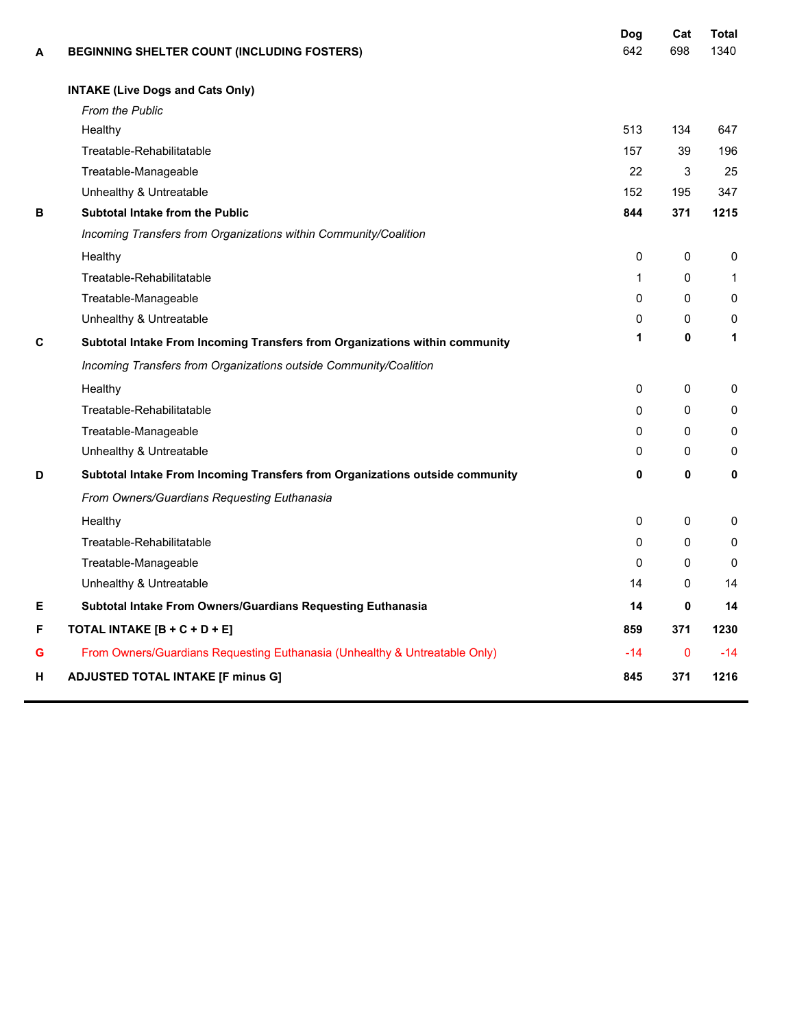| Α | <b>BEGINNING SHELTER COUNT (INCLUDING FOSTERS)</b>                           | Dog<br>642   | Cat<br>698   | Total<br>1340 |
|---|------------------------------------------------------------------------------|--------------|--------------|---------------|
|   | <b>INTAKE (Live Dogs and Cats Only)</b>                                      |              |              |               |
|   | <b>From the Public</b>                                                       |              |              |               |
|   | Healthy                                                                      | 513          | 134          | 647           |
|   | Treatable-Rehabilitatable                                                    | 157          | 39           | 196           |
|   | Treatable-Manageable                                                         | 22           | 3            | 25            |
|   | Unhealthy & Untreatable                                                      | 152          | 195          | 347           |
| в | Subtotal Intake from the Public                                              | 844          | 371          | 1215          |
|   | Incoming Transfers from Organizations within Community/Coalition             |              |              |               |
|   | Healthy                                                                      | $\mathbf{0}$ | 0            | 0             |
|   | Treatable-Rehabilitatable                                                    | $\mathbf{1}$ | 0            | $\mathbf{1}$  |
|   | Treatable-Manageable                                                         | $\mathbf{0}$ | 0            | $\mathbf{0}$  |
|   | Unhealthy & Untreatable                                                      | $\Omega$     | $\Omega$     | $\mathbf 0$   |
| С | Subtotal Intake From Incoming Transfers from Organizations within community  | 1            | $\mathbf{0}$ | 1             |
|   | Incoming Transfers from Organizations outside Community/Coalition            |              |              |               |
|   | Healthy                                                                      | $\mathbf{0}$ | 0            | 0             |
|   | Treatable-Rehabilitatable                                                    | $\mathbf{0}$ | 0            | 0             |
|   | Treatable-Manageable                                                         | $\Omega$     | 0            | $\mathbf{0}$  |
|   | Unhealthy & Untreatable                                                      | 0            | 0            | 0             |
| D | Subtotal Intake From Incoming Transfers from Organizations outside community | 0            | 0            | 0             |
|   | From Owners/Guardians Requesting Euthanasia                                  |              |              |               |
|   | Healthy                                                                      | $\mathbf{0}$ | 0            | 0             |
|   | Treatable-Rehabilitatable                                                    | $\mathbf{0}$ | 0            | $\mathbf{0}$  |
|   | Treatable-Manageable                                                         | $\mathbf{0}$ | 0            | $\mathbf{0}$  |
|   | Unhealthy & Untreatable                                                      | 14           | 0            | 14            |
| Е | Subtotal Intake From Owners/Guardians Requesting Euthanasia                  | 14           | 0            | 14            |
| F | TOTAL INTAKE [B + C + D + E]                                                 | 859          | 371          | 1230          |
| G | From Owners/Guardians Requesting Euthanasia (Unhealthy & Untreatable Only)   | $-14$        | $\mathbf{0}$ | -14           |
| н | <b>ADJUSTED TOTAL INTAKE [F minus G]</b>                                     | 845          | 371          | 1216          |